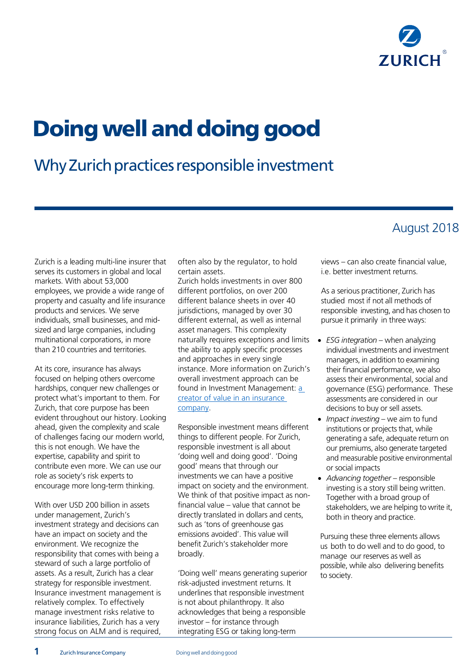

# Doing well and doing good

## Why Zurich practices responsible investment

### August 2018

Zurich is a leading multi-line insurer that serves its customers in global and local markets. With about 53,000 employees, we provide a wide range of property and casualty and life insurance products and services. We serve individuals, small businesses, and midsized and large companies, including multinational corporations, in more than 210 countries and territories.

At its core, insurance has always focused on helping others overcome hardships, conquer new challenges or protect what's important to them. For Zurich, that core purpose has been evident throughout our history. Looking ahead, given the complexity and scale of challenges facing our modern world, this is not enough. We have the expertise, capability and spirit to contribute even more. We can use our role as society's risk experts to encourage more long-term thinking.

With over USD 200 billion in assets under management, Zurich's investment strategy and decisions can have an impact on society and the environment. We recognize the responsibility that comes with being a steward of such a large portfolio of assets. As a result, Zurich has a clear strategy for responsible investment. Insurance investment management is relatively complex. To effectively manage investment risks relative to insurance liabilities, Zurich has a very strong focus on ALM and is required,

often also by the regulator, to hold certain assets.

Zurich holds investments in over 800 different portfolios, on over 200 different balance sheets in over 40 jurisdictions, managed by over 30 different external, as well as internal asset managers. This complexity naturally requires exceptions and limits the ability to apply specific processes and approaches in every single instance. More information on Zurich's overall investment approach can be found in Investment Management: a creator of value in an insurance company.

Responsible investment means different things to different people. For Zurich, responsible investment is all about 'doing well and doing good'. 'Doing good' means that through our investments we can have a positive impact on society and the environment. We think of that positive impact as nonfinancial value – value that cannot be directly translated in dollars and cents, such as 'tons of greenhouse gas emissions avoided'. This value will benefit Zurich's stakeholder more broadly.

'Doing well' means generating superior risk-adjusted investment returns. It underlines that responsible investment is not about philanthropy. It also acknowledges that being a responsible investor – for instance through integrating ESG or taking long-term

views – can also create financial value, i.e. better investment returns.

As a serious practitioner, Zurich has studied most if not all methods of responsible investing, and has chosen to pursue it primarily in three ways:

- *ESG integration –* when analyzing individual investments and investment managers, in addition to examining their financial performance, we also assess their environmental, social and governance (ESG) performance. These assessments are considered in our decisions to buy or sell assets.
- *Impact investing* we aim to fund institutions or projects that, while generating a safe, adequate return on our premiums, also generate targeted and measurable positive environmental or social impacts
- *Advancing together –* responsible investing is a story still being written. Together with a broad group of stakeholders, we are helping to write it, both in theory and practice.

Pursuing these three elements allows us both to do well and to do good, to manage our reserves as well as possible, while also delivering benefits to society.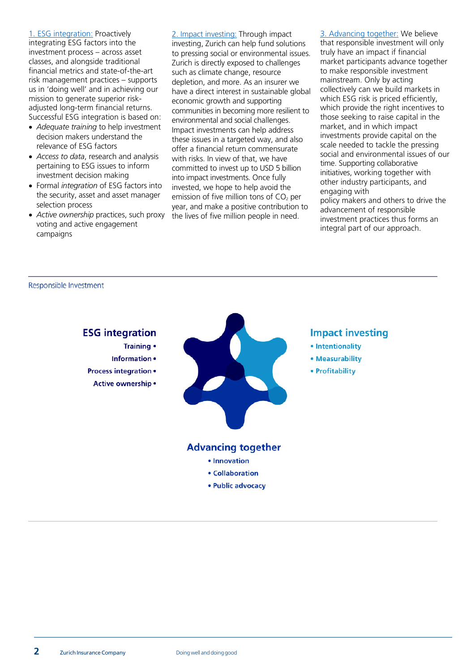1. ESG integration: Proactively integrating ESG factors into the investment process – across asset classes, and alongside traditional financial metrics and state-of-the-art risk management practices – supports us in 'doing well' and in achieving our mission to generate superior riskadjusted long-term financial returns. Successful ESG integration is based on:

- *Adequate training* to help investment decision makers understand the relevance of ESG factors
- *Access to data*, research and analysis pertaining to ESG issues to inform investment decision making
- Formal *integration* of ESG factors into the security, asset and asset manager selection process
- *Active ownership* practices, such proxy voting and active engagement campaigns

2. Impact investing: Through impact investing, Zurich can help fund solutions to pressing social or environmental issues. Zurich is directly exposed to challenges such as climate change, resource depletion, and more. As an insurer we have a direct interest in sustainable global economic growth and supporting communities in becoming more resilient to environmental and social challenges. Impact investments can help address these issues in a targeted way, and also offer a financial return commensurate with risks. In view of that, we have committed to invest up to USD 5 billion into impact investments. Once fully invested, we hope to help avoid the emission of five million tons of  $CO<sub>2</sub>$  per year, and make a positive contribution to the lives of five million people in need.

3. Advancing together: We believe that responsible investment will only truly have an impact if financial market participants advance together to make responsible investment mainstream. Only by acting collectively can we build markets in which ESG risk is priced efficiently, which provide the right incentives to those seeking to raise capital in the market, and in which impact investments provide capital on the scale needed to tackle the pressing social and environmental issues of our time. Supporting collaborative initiatives, working together with other industry participants, and engaging with policy makers and others to drive the

advancement of responsible investment practices thus forms an integral part of our approach.

Responsible Investment

#### **ESG** integration **Impact investing** Training • · Intentionality Information • • Measurability **Process integration •** • Profitability Active ownership . **Advancing together** · Innovation • Collaboration · Public advocacy